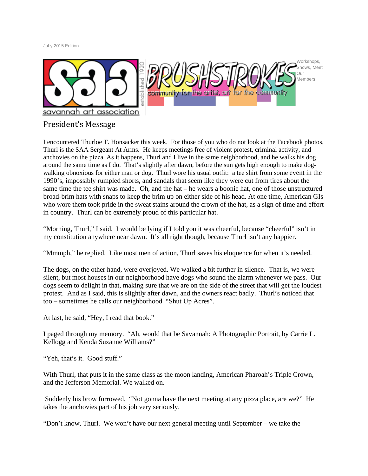Jul y 2015 Edition



# President's Message

I encountered Thurloe T. Honsacker this week. For those of you who do not look at the Facebook photos, Thurl is the SAA Sergeant At Arms. He keeps meetings free of violent protest, criminal activity, and anchovies on the pizza. As it happens, Thurl and I live in the same neighborhood, and he walks his dog around the same time as I do. That's slightly after dawn, before the sun gets high enough to make dogwalking obnoxious for either man or dog. Thurl wore his usual outfit: a tee shirt from some event in the 1990's, impossibly rumpled shorts, and sandals that seem like they were cut from tires about the same time the tee shirt was made. Oh, and the hat – he wears a boonie hat, one of those unstructured broad-brim hats with snaps to keep the brim up on either side of his head. At one time, American GIs who wore them took pride in the sweat stains around the crown of the hat, as a sign of time and effort in country. Thurl can be extremely proud of this particular hat.

"Morning, Thurl," I said. I would be lying if I told you it was cheerful, because "cheerful" isn't in my constitution anywhere near dawn. It's all right though, because Thurl isn't any happier.

"Mmmph," he replied. Like most men of action, Thurl saves his eloquence for when it's needed.

The dogs, on the other hand, were overjoyed. We walked a bit further in silence. That is, we were silent, but most houses in our neighborhood have dogs who sound the alarm whenever we pass. Our dogs seem to delight in that, making sure that we are on the side of the street that will get the loudest protest. And as I said, this is slightly after dawn, and the owners react badly. Thurl's noticed that too – sometimes he calls our neighborhood "Shut Up Acres".

At last, he said, "Hey, I read that book."

I paged through my memory. "Ah, would that be Savannah: A Photographic Portrait, by Carrie L. Kellogg and Kenda Suzanne Williams?"

"Yeh, that's it. Good stuff."

With Thurl, that puts it in the same class as the moon landing, American Pharoah's Triple Crown, and the Jefferson Memorial. We walked on.

Suddenly his brow furrowed. "Not gonna have the next meeting at any pizza place, are we?" He takes the anchovies part of his job very seriously.

"Don't know, Thurl. We won't have our next general meeting until September – we take the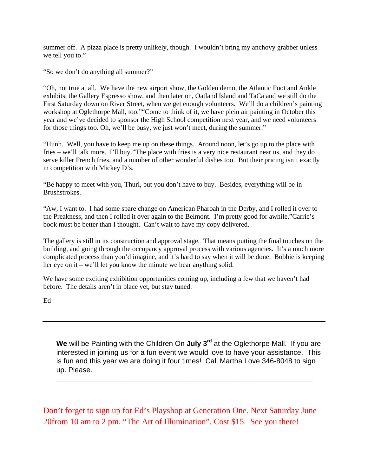summer off. A pizza place is pretty unlikely, though. I wouldn't bring my anchovy grabber unless we tell you to."

"So we don't do anything all summer?"

"Oh, not true at all. We have the new airport show, the Golden demo, the Atlantic Foot and Ankle exhibits, the Gallery Espresso show, and then later on, Oatland Island and TaCa and we still do the First Saturday down on River Street, when we get enough volunteers. We'll do a children's painting workshop at Oglethorpe Mall, too.""Come to think of it, we have plein air painting in October this year and we've decided to sponsor the High School competition next year, and we need volunteers for those things too. Oh, we'll be busy, we just won't meet, during the summer."

"Hunh. Well, you have to keep me up on these things. Around noon, let's go up to the place with fries – we'll talk more. I'll buy."The place with fries is a very nice restaurant near us, and they do serve killer French fries, and a number of other wonderful dishes too. But their pricing isn't exactly in competition with Mickey D's.

"Be happy to meet with you, Thurl, but you don't have to buy. Besides, everything will be in Brushstrokes.

"Aw, I want to. I had some spare change on American Pharoah in the Derby, and I rolled it over to the Preakness, and then I rolled it over again to the Belmont. I'm pretty good for awhile."Carrie's book must be better than I thought. Can't wait to have my copy delivered.

The gallery is still in its construction and approval stage. That means putting the final touches on the building, and going through the occupancy approval process with various agencies. It's a much more complicated process than you'd imagine, and it's hard to say when it will be done. Bobbie is keeping her eye on it – we'll let you know the minute we hear anything solid.

We have some exciting exhibition opportunities coming up, including a few that we haven't had before. The details aren't in place yet, but stay tuned.

Ed

We will be Painting with the Children On July 3<sup>rd</sup> at the Oglethorpe Mall. If you are interested in joining us for a fun event we would love to have your assistance. This is fun and this year we are doing it four times! Call Martha Love 346-8048 to sign up. Please.

**\_\_\_\_\_\_\_\_\_\_\_\_\_\_\_\_\_\_\_\_\_\_\_\_\_\_\_\_\_\_\_\_\_\_\_\_\_\_\_\_\_\_\_\_\_\_\_\_\_\_\_\_\_\_\_\_\_\_\_\_\_\_\_\_**

Don't forget to sign up for Ed's Playshop at Generation One. Next Saturday June 20from 10 am to 2 pm. "The Art of Illumination". Cost \$15. See you there!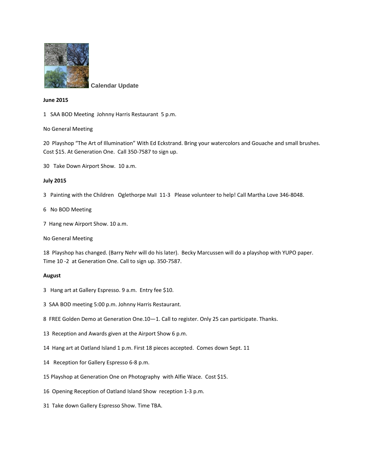

**Calendar Update**

### **June 2015**

1 SAA BOD Meeting Johnny Harris Restaurant 5 p.m.

### No General Meeting

20 Playshop "The Art of Illumination" With Ed Eckstrand. Bring your watercolors and Gouache and small brushes. Cost \$15. At Generation One. Call 350-7587 to sign up.

30 Take Down Airport Show. 10 a.m.

#### **July 2015**

- 3 Painting with the Children Oglethorpe Mall 11-3 Please volunteer to help! Call Martha Love 346-8048.
- 6 No BOD Meeting
- 7 Hang new Airport Show. 10 a.m.
- No General Meeting

18 Playshop has changed. (Barry Nehr will do his later). Becky Marcussen will do a playshop with YUPO paper. Time 10 -2 at Generation One. Call to sign up. 350-7587.

#### **August**

- 3 Hang art at Gallery Espresso. 9 a.m. Entry fee \$10.
- 3 SAA BOD meeting 5:00 p.m. Johnny Harris Restaurant.
- 8 FREE Golden Demo at Generation One.10—1. Call to register. Only 25 can participate. Thanks.
- 13 Reception and Awards given at the Airport Show 6 p.m.
- 14 Hang art at Oatland Island 1 p.m. First 18 pieces accepted. Comes down Sept. 11
- 14 Reception for Gallery Espresso 6-8 p.m.
- 15 Playshop at Generation One on Photography with Alfie Wace. Cost \$15.
- 16 Opening Reception of Oatland Island Show reception 1-3 p.m.
- 31 Take down Gallery Espresso Show. Time TBA.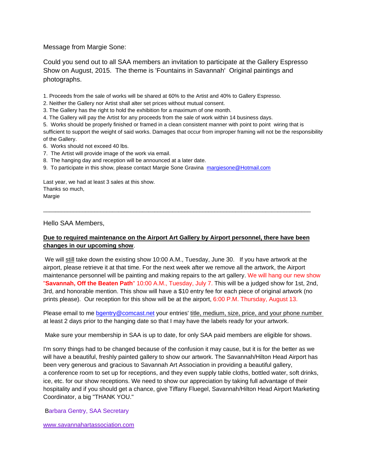Message from Margie Sone:

Could you send out to all SAA members an invitation to participate at the Gallery Espresso Show on August, 2015. The theme is 'Fountains in Savannah' Original paintings and photographs.

1. Proceeds from the sale of works will be shared at 60% to the Artist and 40% to Gallery Espresso.

2. Neither the Gallery nor Artist shall alter set prices without mutual consent.

3. The Gallery has the right to hold the exhibition for a maximum of one month.

4. The Gallery will pay the Artist for any proceeds from the sale of work within 14 business days.

5. Works should be properly finished or framed in a clean consistent manner with point to point wiring that is sufficient to support the weight of said works. Damages that occur from improper framing will not be the responsibility of the Gallery.

6. Works should not exceed 40 lbs.

7. The Artist will provide image of the work via email.

8. The hanging day and reception will be announced at a later date.

9. To participate in this show, please contact Margie Sone Gravina [margiesone@Hotmail.com](mailto:margiesone@Hotmail.com)

Last year, we had at least 3 sales at this show. Thanks so much, Margie

Hello SAA Members,

## **Due to required maintenance on the Airport Art Gallery by Airport personnel, there have been changes in our upcoming show**.

 $\overline{\phantom{a}}$  , and the contribution of the contribution of the contribution of the contribution of the contribution of the contribution of the contribution of the contribution of the contribution of the contribution of the

We will still take down the existing show 10:00 A.M., Tuesday, June 30. If you have artwork at the airport, please retrieve it at that time. For the next week after we remove all the artwork, the Airport maintenance personnel will be painting and making repairs to the art gallery. We will hang our new show "**Savannah, Off the Beaten Path**" 10:00 A.M., Tuesday, July 7. This will be a judged show for 1st, 2nd, 3rd, and honorable mention. This show will have a \$10 entry fee for each piece of original artwork (no prints please). Our reception for this show will be at the airport, 6:00 P.M. Thursday, August 13.

Please email to me [bgentry@comcast.net](mailto:bgentry@comcast.net) your entries' title, medium, size, price, and your phone number at least 2 days prior to the hanging date so that I may have the labels ready for your artwork.

Make sure your membership in SAA is up to date, for only SAA paid members are eligible for shows.

I'm sorry things had to be changed because of the confusion it may cause, but it is for the better as we will have a beautiful, freshly painted gallery to show our artwork. The Savannah/Hilton Head Airport has been very generous and gracious to Savannah Art Association in providing a beautiful gallery, a conference room to set up for receptions, and they even supply table cloths, bottled water, soft drinks, ice, etc. for our show receptions. We need to show our appreciation by taking full advantage of their hospitality and if you should get a chance, give Tiffany Fluegel, Savannah/Hilton Head Airport Marketing Coordinator, a big "THANK YOU."

Barbara Gentry, SAA Secretary

[www.savannahartassociation.com](http://www.savannahartassociation.com/)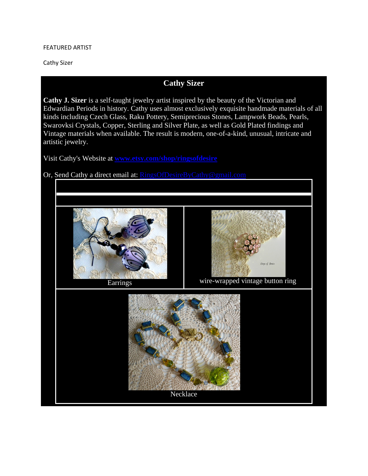### FEATURED ARTIST

Cathy Sizer

# **Cathy Sizer**

**Cathy J. Sizer** is a self-taught jewelry artist inspired by the beauty of the Victorian and Edwardian Periods in history. Cathy uses almost exclusively exquisite handmade materials of all kinds including Czech Glass, Raku Pottery, Semiprecious Stones, Lampwork Beads, Pearls, Swarovksi Crystals, Copper, Sterling and Silver Plate, as well as Gold Plated findings and Vintage materials when available. The result is modern, one-of-a-kind, unusual, intricate and artistic jewelry.

Visit Cathy's Website at **[www.etsy.com/shop/ringsofdesire](http://www.etsy.com/shop/ringsofdesire)**

Or, Send Cathy a direct email at: [RingsOfDesireByCathy@gmail.com](mailto:ringsofdesirebycathy@gmail.com)

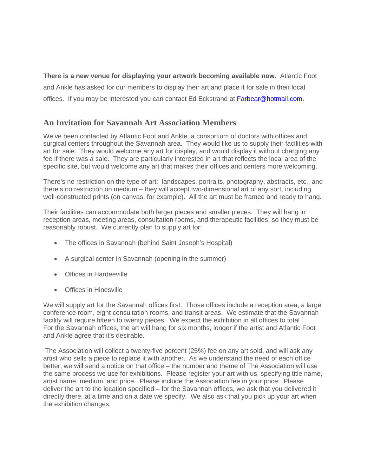**There is a new venue for displaying your artwork becoming available now.** Atlantic Foot and Ankle has asked for our members to display their art and place it for sale in their local offices. If you may be interested you can contact Ed Eckstrand at **Farbear@hotmail.com.** 

# **An Invitation for Savannah Art Association Members**

We've been contacted by Atlantic Foot and Ankle, a consortium of doctors with offices and surgical centers throughout the Savannah area. They would like us to supply their facilities with art for sale. They would welcome any art for display, and would display it without charging any fee if there was a sale. They are particularly interested in art that reflects the local area of the specific site, but would welcome any art that makes their offices and centers more welcoming.

There's no restriction on the type of art: landscapes, portraits, photography, abstracts, etc., and there's no restriction on medium – they will accept two-dimensional art of any sort, including well-constructed prints (on canvas, for example). All the art must be framed and ready to hang.

Their facilities can accommodate both larger pieces and smaller pieces. They will hang in reception areas, meeting areas, consultation rooms, and therapeutic facilities, so they must be reasonably robust. We currently plan to supply art for:

- The offices in Savannah (behind Saint Joseph's Hospital)
- A surgical center in Savannah (opening in the summer)
- Offices in Hardeeville
- Offices in Hinesville

We will supply art for the Savannah offices first. Those offices include a reception area, a large conference room, eight consultation rooms, and transit areas. We estimate that the Savannah facility will require fifteen to twenty pieces. We expect the exhibition in all offices to total For the Savannah offices, the art will hang for six months, longer if the artist and Atlantic Foot and Ankle agree that it's desirable.

The Association will collect a twenty-five percent (25%) fee on any art sold, and will ask any artist who sells a piece to replace it with another. As we understand the need of each office better, we will send a notice on that office – the number and theme of The Association will use the same process we use for exhibitions. Please register your art with us, specifying title name, artist name, medium, and price. Please include the Association fee in your price. Please deliver the art to the location specified – for the Savannah offices, we ask that you delivered it directly there, at a time and on a date we specify. We also ask that you pick up your art when the exhibition changes.